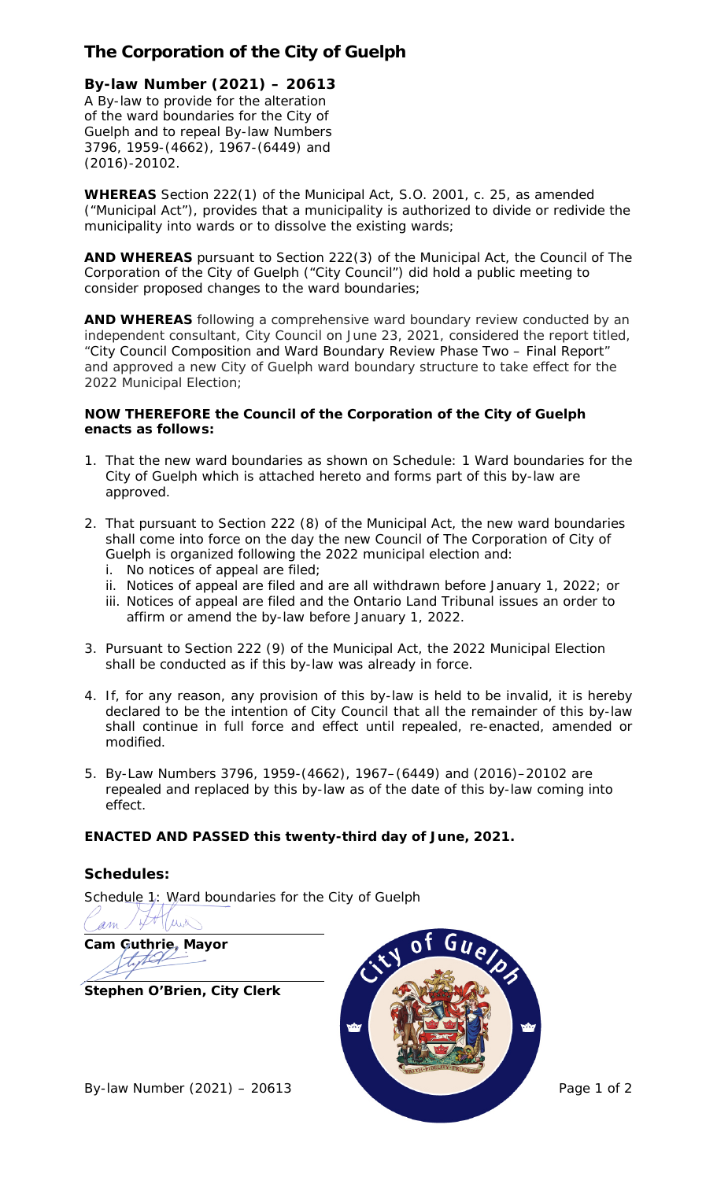# **The Corporation of the City of Guelph**

## **By-law Number (2021) – 20613**

A By-law to provide for the alteration of the ward boundaries for the City of Guelph and to repeal By-law Numbers 3796, 1959-(4662), 1967-(6449) and (2016)-20102.

**WHEREAS** Section 222(1) of the *Municipal Act*, S.O. 2001, c. 25, as amended ("*Municipal Act*"), provides that a municipality is authorized to divide or redivide the municipality into wards or to dissolve the existing wards;

**AND WHEREAS** pursuant to Section 222(3) of the *Municipal Act*, the Council of The Corporation of the City of Guelph ("City Council") did hold a public meeting to consider proposed changes to the ward boundaries;

**AND WHEREAS** following a comprehensive ward boundary review conducted by an independent consultant, City Council on June 23, 2021, considered the report titled, "City Council Composition and Ward Boundary Review Phase Two – Final Report" and approved a new City of Guelph ward boundary structure to take effect for the 2022 Municipal Election;

#### **NOW THEREFORE the Council of the Corporation of the City of Guelph enacts as follows:**

- 1. That the new ward boundaries as shown on Schedule: 1 Ward boundaries for the City of Guelph which is attached hereto and forms part of this by-law are approved.
- 2. That pursuant to Section 222 (8) of the *Municipal Act*, the new ward boundaries shall come into force on the day the new Council of The Corporation of City of Guelph is organized following the 2022 municipal election and:
	- i. No notices of appeal are filed;
	- ii. Notices of appeal are filed and are all withdrawn before January 1, 2022; or
	- iii. Notices of appeal are filed and the Ontario Land Tribunal issues an order to affirm or amend the by-law before January 1, 2022.
- 3. Pursuant to Section 222 (9) of the *Municipal Act*, the 2022 Municipal Election shall be conducted as if this by-law was already in force.
- 4. If, for any reason, any provision of this by-law is held to be invalid, it is hereby declared to be the intention of City Council that all the remainder of this by-law shall continue in full force and effect until repealed, re-enacted, amended or modified.
- 5. By-Law Numbers 3796, 1959-(4662), 1967–(6449) and (2016)–20102 are repealed and replaced by this by-law as of the date of this by-law coming into effect.

## **ENACTED AND PASSED this twenty-third day of June, 2021.**

## **Schedules:**

Schedule 1: Ward boundaries for the City of Guelph

Tuis am

**Cam Guthrie, Mayor** titel

**Stephen O'Brien, City Clerk**